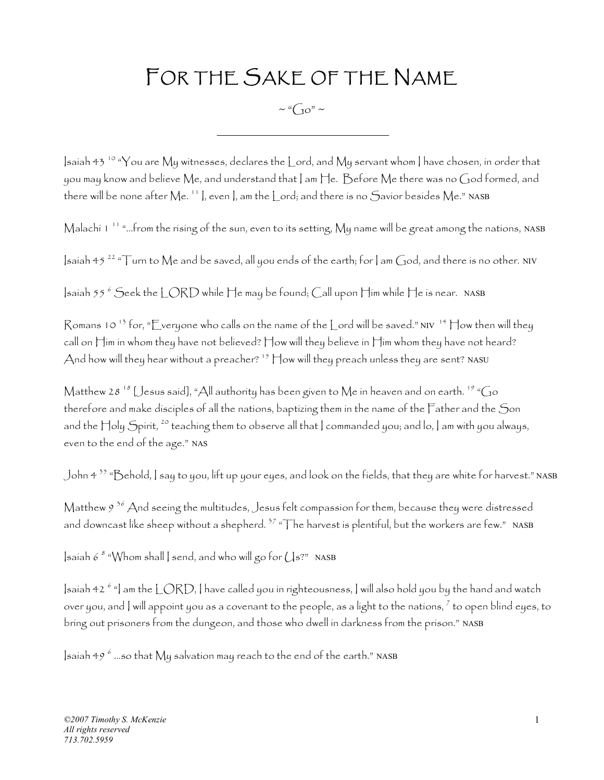## FOR THE SAKE OF THE NAME

 $\sim$  " $C_{10}$ " ~

Isaiah 43 10 "You are My witnesses, declares the Lord, and My servant whom I have chosen, in order that you may know and believe Me, and understand that I am He. Before Me there was no God formed, and there will be none after Me.<sup>11</sup>, even, am the Lord; and there is no Savior besides Me." NASB

Malachi 1 11 "…from the rising of the sun, even to its setting, My name will be great among the nations, NASB

 $\sinh 45^{22}$  "Turn to Me and be saved, all you ends of the earth; for  $\sin \theta$  and there is no other. NIV

|saiah 55  $^6$  Seek the LORD while He may be found; Call upon Him while He is near. NASB

Romans 10  $^{13}$  for, "Everyone who calls on the name of the Lord will be saved." NIV  $^{14}$  How then will they call on Him in whom they have not believed? How will they believe in Him whom they have not heard? And how will they hear without a preacher?  $^{15}$  How will they preach unless they are sent? NASU

Matthew 28<sup>18</sup> [Jesus said], "All authority has been given to Me in heaven and on earth. <sup>19</sup> "Go therefore and make disciples of all the nations, baptizing them in the name of the Father and the Son and the Holy Spirit, <sup>20</sup> teaching them to observe all that | commanded you; and lo, | am with you always, even to the end of the age." NAS

John 4 35 "Behold, I say to you, lift up your eyes, and look on the fields, that they are white for harvest." NASB

Matthew  $9^{36}$  And seeing the multitudes, Jesus felt compassion for them, because they were distressed and downcast like sheep without a shepherd.<sup>37</sup> "The harvest is plentiful, but the workers are few." NASB

 $\vert$ saiah 6  $^s$  "Whom shall  $\vert$  send, and who will go for  $\bigcup$ s?" NASB

]saiah 42  $^6$  "] am the LORD, ] have called you in righteousness, ] will also hold you by the hand and watch over you, and  $|$  will appoint you as a covenant to the people, as a light to the nations,  $^7$  to open blind eyes, to bring out prisoners from the dungeon, and those who dwell in darkness from the prison." NASB

 $|$ saíah 49  $^6$  …so that  ${\rm My}$  salvatíon may reach to the end of the earth." <code>NASB</code>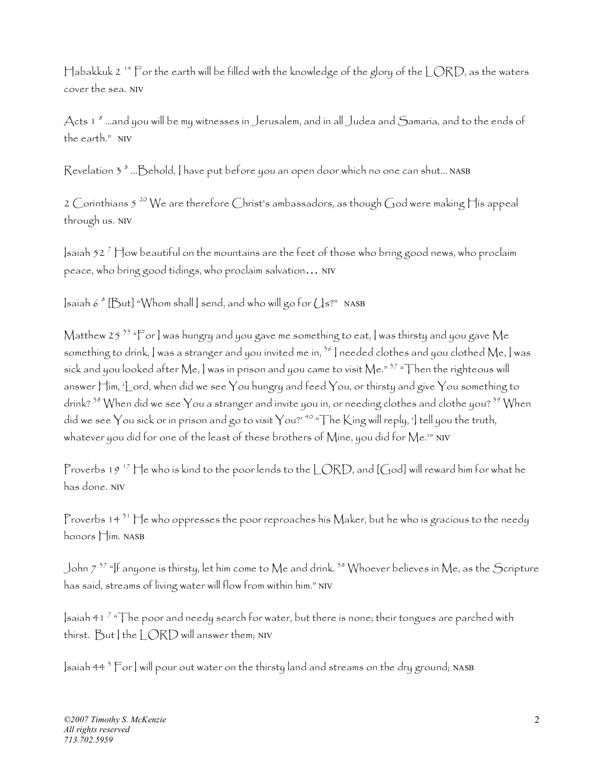Habakkuk 2 14 For the earth will be filled with the knowledge of the glory of the LORD, as the waters cover the sea. NIV

Acts 1 <sup>8</sup> …and you will be my witnesses in Jerusalem, and in all Judea and Samaria, and to the ends of the earth." NIV

 ${\mathsf R}$ evelatíon 3  $^s$  ... ${\mathsf B}$ ehold,  ${\mathsf I}$  have put before you an open door which no one can shut... <code>NASB</code>

2 Corinthians 5  $^{20}$  We are therefore Christ's ambassadors, as though God were making His appeal through us. NIV

 $|$ saíah 52  $^7$   $\P$ ow beautiful on the mountains are the feet of those who bring good news, who proclaim peace, who bring good tidings, who proclaim salvation… NIV

 $\mathsf{I}\mathsf{s}$ aiah 6  $^s$  [ $\mathsf{But}$ ] "Whom shall  $\mathsf{I}\mathsf{s}$  send, and who will go for  $\mathsf{U}\mathsf{s}$ ?" NASB

Matthew 25<sup>35</sup> "For I was hungry and you gave me something to eat, I was thirsty and you gave Me something to drink, I was a stranger and you invited me in,  $36$  I needed clothes and you clothed Me, I was sick and you looked after Me, I was in prison and you came to visit Me."  $37$  "Then the righteous will answer  $\mathop{\vdash}$ im, 'Lord, when did we see  $\mathop{\mathsf{You}}$  hungry and feed  $\mathop{\mathsf{You}}$ , or thirsty and give  $\mathop{\mathsf{You}}$  something to drink?  $38$  When did we see You a stranger and invite you in, or needing clothes and clothe you?  $39$  When did we see You sick or in prison and go to visit You?' <sup>40</sup> "The King will reply, 'I tell you the truth, whatever you did for one of the least of these brothers of Mine, you did for Me.'" NIV

Proverbs 19<sup>17</sup> He who is kind to the poor lends to the LORD, and [God] will reward him for what he has done. NIV

Proverbs  $14^{31}$  He who oppresses the poor reproaches his Maker, but he who is gracious to the needy honors Him. NASB

John 7<sup>37</sup> "If anyone is thirsty, let him come to Me and drink.<sup>38</sup> Whoever believes in Me, as the Scripture has said, streams of living water will flow from within him." NIV

 $|$ saiah 41  $^7$  " $\top$ he poor and needy search for water, but there is none; their tongues are parched with thirst.  $But$  I the  $|$   $ORD$  will answer them; NIV

 $|$ saiah 44  $^3$   $\overline{\Gamma}$ or  $|$  will pour out water on the thirsty land and streams on the dry ground; <code>NASB</code>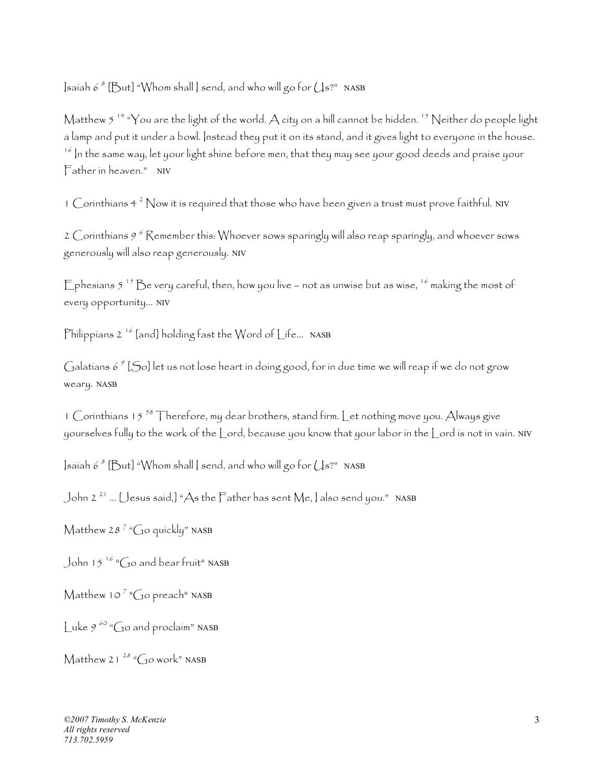$\mathsf{I}$ saiah 6  $^s$  [But] "Whom shall  $\mathsf{I}$  send, and who will go for  $\mathcal{L}$  s?" NASB

Matthew 5<sup>14</sup> "You are the light of the world. A city on a hill cannot be hidden.<sup>15</sup> Neither do people light a lamp and put it under a bowl. Instead they put it on its stand, and it gives light to everyone in the house.  $^{16}$  In the same way, let your light shine before men, that they may see your good deeds and praise your Father in heaven." NIV

1  $\mathsf C$ orinthians 4<sup>2</sup> Now it is required that those who have been given a trust must prove faithful. NIV

2  $\mathcal C$ orínthíans 9  $^6$   $\mathcal R$ emember thís: Whoever sows sparingly will also reap sparingly, and whoever sows generously will also reap generously. NIV

Ephesians  $5^{-15}$  Be very careful, then, how you live – not as unwise but as wise,  $16$  making the most of every opportunity... NIV

Philippians  $2^{-16}$  [and] holding fast the Word of Life... NASB

Galatians 6  $^{\circ}$  [So] let us not lose heart in doing good, for in due time we will reap if we do not grow weary. NASB

1 Corinthians 15<sup>58</sup> Therefore, my dear brothers, stand firm. Let nothing move you. Always give yourselves fully to the work of the Lord, because you know that your labor in the Lord is not in vain. NIV

 $\mathsf{I}\mathsf{s}$ aiah 6  $^s$  [ $\mathsf{But}$ ] "Whom shall  $\mathsf{I}\mathsf{s}$  send, and who will go for  $\mathsf{U}\mathsf{s}$ ?" NASB

John 2 21 … [Jesus said,] "As the Father has sent Me, I also send you." NASB

Matthew 28<sup>7</sup> "Go quickly" NASB

John 15<sup>16</sup> "Go and bear fruit" NASB

Matthew 10<sup>7</sup> "Go preach" NASB

Luke  $9^{60}$  "Go and proclaim" NASB

Matthew 21<sup>28</sup> " $\sqrt{ }$ <sub>9</sub>0 work" NASB